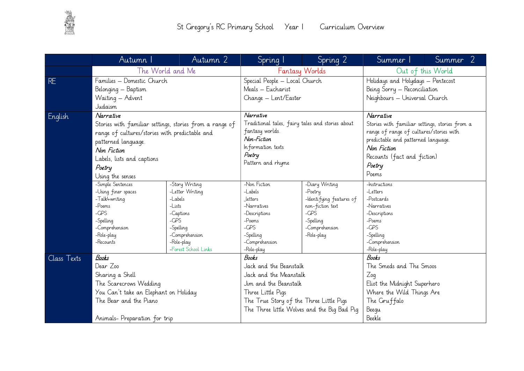

|             | Autumn I                                                              | Autumn 2                                       | Spring 1                                         | Spring 2                     | Summer 1                                                                        | Summer 2                                |  |
|-------------|-----------------------------------------------------------------------|------------------------------------------------|--------------------------------------------------|------------------------------|---------------------------------------------------------------------------------|-----------------------------------------|--|
|             |                                                                       | The World and Me                               |                                                  | Fantasy Worlds               |                                                                                 | Out of this World                       |  |
| <b>RE</b>   | Families - Domestic Church<br>Belonging - Baptism<br>Waiting - Advent |                                                | Special People - Local Church                    |                              | Holidays and Holydays - Pentecost                                               |                                         |  |
|             |                                                                       |                                                | Meals - Eucharist                                |                              | Being Sorry - Reconciliation                                                    |                                         |  |
|             |                                                                       |                                                | Change - Lent/Easter                             |                              | Neighbours - Universal Church                                                   |                                         |  |
|             | Judaism                                                               |                                                |                                                  |                              |                                                                                 |                                         |  |
| English     | Narrative                                                             |                                                | Narrative                                        |                              | Narrative                                                                       |                                         |  |
|             | Stories with familiar settings, stories from a range of               |                                                | Traditional tales, fairy tales and stories about |                              | Stories with familiar settings, stories from a                                  |                                         |  |
|             |                                                                       | range of cultures/stories with predictable and |                                                  | fantasy worlds.              |                                                                                 | range of range of cultures/stories with |  |
|             | patterned language.                                                   |                                                | Non-Fiction                                      |                              | predictable and patterned language.                                             |                                         |  |
|             | Non Fiction                                                           |                                                | Information texts                                |                              | Non Fiction                                                                     |                                         |  |
|             | Labels, lists and captions                                            | Poetry                                         |                                                  |                              | Recounts (fact and fiction)<br>Poetry<br>Poems                                  |                                         |  |
|             | Poetry                                                                |                                                | Pattern and rhyme                                |                              |                                                                                 |                                         |  |
|             | Using the senses                                                      |                                                |                                                  |                              |                                                                                 |                                         |  |
|             | -Simple Sentences                                                     | -Story Writing                                 | -Non Fiction                                     | -Diary Writing               | -Instructions                                                                   |                                         |  |
|             | -Using finer spaces                                                   | -Letter Writing                                | $-Labels$                                        | -Poetry                      | $-L$ etters                                                                     |                                         |  |
|             | -Talk4writing                                                         | -Labels                                        | letters                                          | -Identifying features of     | -Postcards                                                                      |                                         |  |
|             | -Poems                                                                | $-Lists$                                       | -Narratives                                      | non-fiction text             | -Narratives<br>-Descriptions<br>-Poems<br>$-CPS$<br>-Spelling<br>-Comprehension |                                         |  |
|             | $-CPS$                                                                | -Captions                                      | -Descriptions                                    | $-CPS$                       |                                                                                 |                                         |  |
|             | -Spelling                                                             | $-CPS$                                         | -Poems<br>$-CPS$                                 | -Spelling                    |                                                                                 |                                         |  |
|             | -Comprehension<br>-Role-play                                          | -Spelling<br>-Comprehension                    | -Spelling                                        | -Comprehension<br>-Role-play |                                                                                 |                                         |  |
|             | -Recounts                                                             | -Role-play                                     | -Comprehension                                   |                              |                                                                                 |                                         |  |
|             |                                                                       | -Forest School Links                           | -Role-play                                       |                              | -Role-play                                                                      |                                         |  |
| Class Texts | <b>Books</b><br>Dear Zoo                                              |                                                | <b>Books</b>                                     |                              | <b>Books</b>                                                                    |                                         |  |
|             |                                                                       |                                                | Jack and the Beanstalk                           |                              | The Smeds and The Smoos                                                         |                                         |  |
|             | Sharing a Shell                                                       |                                                |                                                  | Jack and the Meanstalk       |                                                                                 | Zoq                                     |  |
|             | The Scarecrows Wedding                                                |                                                | Jim and the Beanstalk                            |                              | Eliot the Midnight Superhero                                                    |                                         |  |
|             | You Can't take an Elephant on Holiday                                 |                                                | Three Little Pigs                                |                              | Where the Wild Things Are                                                       |                                         |  |
|             | The Bear and the Piano                                                |                                                | The True Story of the Three Little Pigs          |                              | The Gruffalo                                                                    |                                         |  |
|             |                                                                       |                                                | The Three little Wolves and the Big Bad Pig      |                              | Beegu                                                                           |                                         |  |
|             | Animals- Preparation for trip                                         |                                                |                                                  |                              | Beekle                                                                          |                                         |  |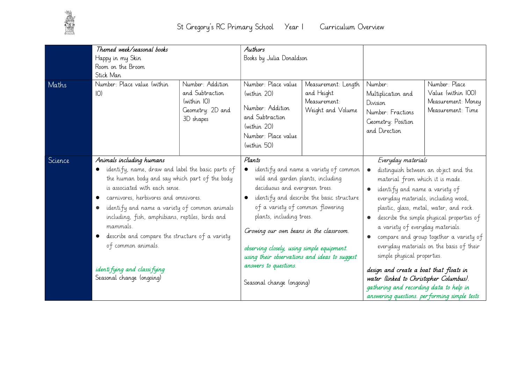

| Maths   | Themed week/seasonal books<br>Happy in my Skin<br>Room on the Broom<br>Stick Man<br>Number: Place value (within<br>$ O\rangle$                                                                                                                                                                                                                                                                                                                                  | Number: Addition<br>and Subtraction<br>(within IO)<br>Geometry: 2D and<br>3D shapes | Authors<br>Books by Julia Donaldson<br>Number: Place value<br>(within 20)<br>Number: Addition<br>and Subtraction<br>(within 20)<br>Number: Place value<br>(within 50)                                                                                                                                                                                                                                                                            | Measurement: Length<br>and Height<br>Measurement:<br>Weight and Volume | Number:<br>Multiplication and<br>Division<br>Number: Fractions<br>Geometry: Position<br>and Direction                                                                                                                                                                                                                                                                                                                                                                                                                                                                                                       | Number: Place<br>Value (within IOO)<br>Measurement: Money<br>Measurement: Time |
|---------|-----------------------------------------------------------------------------------------------------------------------------------------------------------------------------------------------------------------------------------------------------------------------------------------------------------------------------------------------------------------------------------------------------------------------------------------------------------------|-------------------------------------------------------------------------------------|--------------------------------------------------------------------------------------------------------------------------------------------------------------------------------------------------------------------------------------------------------------------------------------------------------------------------------------------------------------------------------------------------------------------------------------------------|------------------------------------------------------------------------|-------------------------------------------------------------------------------------------------------------------------------------------------------------------------------------------------------------------------------------------------------------------------------------------------------------------------------------------------------------------------------------------------------------------------------------------------------------------------------------------------------------------------------------------------------------------------------------------------------------|--------------------------------------------------------------------------------|
| Science | Animals including humans<br>identify, name, draw and label the basic parts of<br>the human body and say which part of the body<br>is associated with each sense.<br>carnivores, herbivores and omnivores.<br>identify and name a variety of common animals<br>including, fish, amphibians, reptiles, birds and<br>mammals.<br>describe and compare the structure of a variety<br>of common animals.<br>identifying and classifying<br>Seasonal change (ongoing) |                                                                                     | Plants<br>identify and name a variety of common<br>$\bullet$<br>wild and garden plants, including<br>deciduous and evergreen trees.<br>identify and describe the basic structure<br>of a variety of common flowering<br>plants, including trees.<br>Growing our own beans in the classroom.<br>observing closely, using simple equipment.<br>using their observations and ideas to suggest<br>answers to questions.<br>Seasonal change (ongoing) |                                                                        | Everyday materials<br>distinguish between an object and the<br>material from which it is made.<br>identify and name a variety of<br>everyday materials, including wood,<br>plastic, glass, metal, water, and rock.<br>describe the simple physical properties of<br>a variety of everyday materials.<br>compare and group together a variety of<br>everyday materials on the basis of their<br>simple physical properties.<br>design and create a boat that floats in<br>water (linked to Christopher Columbus).<br>gathering and recording data to help in<br>answering questions. performing simple tests |                                                                                |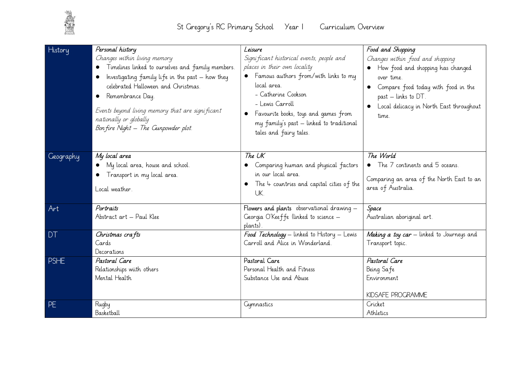

| History          | Personal history<br>Changes within living memory<br>Timelines linked to ourselves and family members.<br>Investigating family life in the past - how they<br>celebrated Halloween and Christmas.<br>Remembrance Day.<br>Events beyond living memory that are significant<br>nationally or globally<br>Bon fire Night - The Gunpowder plot. | Leisure<br>Significant historical events, people and<br>places in their own locality<br>• Famous authors from/with links to my<br>local area.<br>- Catherine Cookson<br>- Lewis Carroll<br>Favourite books, toys and games from<br>my family's past – linked to traditional<br>tales and fairy tales. | Food and Shopping<br>Changes within food and shopping<br>How food and shopping has changed<br>over time.<br>Compare food today with food in the<br>past - links to DT.<br>Local delicacy in North East throughout<br>time. |
|------------------|--------------------------------------------------------------------------------------------------------------------------------------------------------------------------------------------------------------------------------------------------------------------------------------------------------------------------------------------|-------------------------------------------------------------------------------------------------------------------------------------------------------------------------------------------------------------------------------------------------------------------------------------------------------|----------------------------------------------------------------------------------------------------------------------------------------------------------------------------------------------------------------------------|
| <b>Ceography</b> | My local area<br>My local area, house and school.<br>Transport in my local area.<br>Local weather.                                                                                                                                                                                                                                         | The UK<br>Comparing human and physical factors<br>in our local area.<br>$\bullet$ The $\downarrow$ countries and capital cities of the<br>UK.                                                                                                                                                         | The World<br>• The 7 continents and 5 oceans.<br>Comparing an area of the North East to an<br>area of Australia.                                                                                                           |
| Art              | Portraits<br>Abstract art - Paul Klee                                                                                                                                                                                                                                                                                                      | Flowers and plants observational drawing -<br>Georgia O'Keeffe (linked to science -<br>plants).                                                                                                                                                                                                       | Space<br>Australian aboriginal art.                                                                                                                                                                                        |
| <b>DT</b>        | Christmas crafts<br>Cards<br>Decorations                                                                                                                                                                                                                                                                                                   | Food Technology - linked to History - Lewis<br>Carroll and Alice in Wonderland.                                                                                                                                                                                                                       | Making a toy car - linked to Journeys and<br>Transport topic.                                                                                                                                                              |
| <b>PSHE</b>      | Pastoral Care<br>Relationships wiith others<br>Mental Health                                                                                                                                                                                                                                                                               | Pastoral Care<br>Personal Health and Fitness<br>Substance Use and Abuse                                                                                                                                                                                                                               | Pastoral Care<br>Being Safe<br>Environment<br>KIDSAFE PROGRAMME                                                                                                                                                            |
| <b>PE</b>        | Rugby<br>Basketball                                                                                                                                                                                                                                                                                                                        | Gymnastics                                                                                                                                                                                                                                                                                            | Cricket<br>Athletics                                                                                                                                                                                                       |